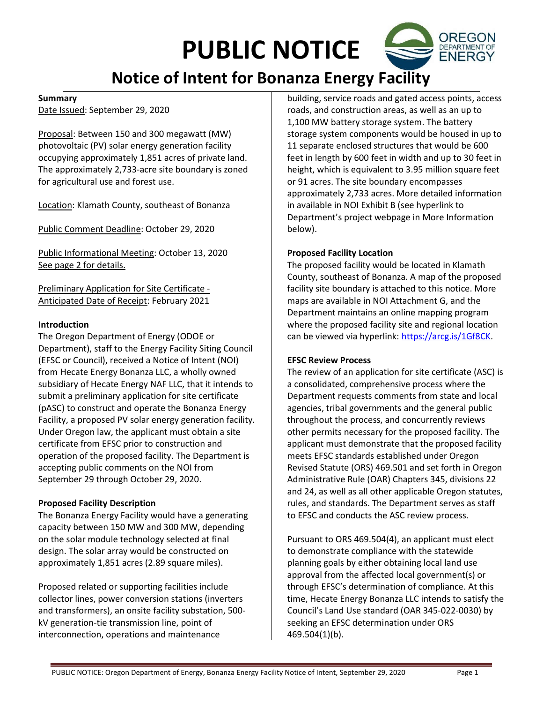# PUBLIC NOTICE

# Notice of Intent for Bonanza Energy Facility

#### Summary

Date Issued: September 29, 2020

Proposal: Between 150 and 300 megawatt (MW) photovoltaic (PV) solar energy generation facility occupying approximately 1,851 acres of private land. The approximately 2,733-acre site boundary is zoned for agricultural use and forest use.

Location: Klamath County, southeast of Bonanza

Public Comment Deadline: October 29, 2020

Public Informational Meeting: October 13, 2020 See page 2 for details.

Preliminary Application for Site Certificate - Anticipated Date of Receipt: February 2021

#### Introduction

The Oregon Department of Energy (ODOE or Department), staff to the Energy Facility Siting Council (EFSC or Council), received a Notice of Intent (NOI) from Hecate Energy Bonanza LLC, a wholly owned subsidiary of Hecate Energy NAF LLC, that it intends to submit a preliminary application for site certificate (pASC) to construct and operate the Bonanza Energy Facility, a proposed PV solar energy generation facility. Under Oregon law, the applicant must obtain a site certificate from EFSC prior to construction and operation of the proposed facility. The Department is accepting public comments on the NOI from September 29 through October 29, 2020.

#### Proposed Facility Description

The Bonanza Energy Facility would have a generating capacity between 150 MW and 300 MW, depending on the solar module technology selected at final design. The solar array would be constructed on approximately 1,851 acres (2.89 square miles).

Proposed related or supporting facilities include collector lines, power conversion stations (inverters and transformers), an onsite facility substation, 500 kV generation-tie transmission line, point of interconnection, operations and maintenance

building, service roads and gated access points, access roads, and construction areas, as well as an up to 1,100 MW battery storage system. The battery storage system components would be housed in up to 11 separate enclosed structures that would be 600 feet in length by 600 feet in width and up to 30 feet in height, which is equivalent to 3.95 million square feet or 91 acres. The site boundary encompasses approximately 2,733 acres. More detailed information in available in NOI Exhibit B (see hyperlink to Department's project webpage in More Information below).

#### Proposed Facility Location

The proposed facility would be located in Klamath County, southeast of Bonanza. A map of the proposed facility site boundary is attached to this notice. More maps are available in NOI Attachment G, and the Department maintains an online mapping program where the proposed facility site and regional location can be viewed via hyperlink: https://arcg.is/1Gf8CK.

#### EFSC Review Process

The review of an application for site certificate (ASC) is a consolidated, comprehensive process where the Department requests comments from state and local agencies, tribal governments and the general public throughout the process, and concurrently reviews other permits necessary for the proposed facility. The applicant must demonstrate that the proposed facility meets EFSC standards established under Oregon Revised Statute (ORS) 469.501 and set forth in Oregon Administrative Rule (OAR) Chapters 345, divisions 22 and 24, as well as all other applicable Oregon statutes, rules, and standards. The Department serves as staff to EFSC and conducts the ASC review process.

Pursuant to ORS 469.504(4), an applicant must elect to demonstrate compliance with the statewide planning goals by either obtaining local land use approval from the affected local government(s) or through EFSC's determination of compliance. At this time, Hecate Energy Bonanza LLC intends to satisfy the Council's Land Use standard (OAR 345-022-0030) by seeking an EFSC determination under ORS 469.504(1)(b).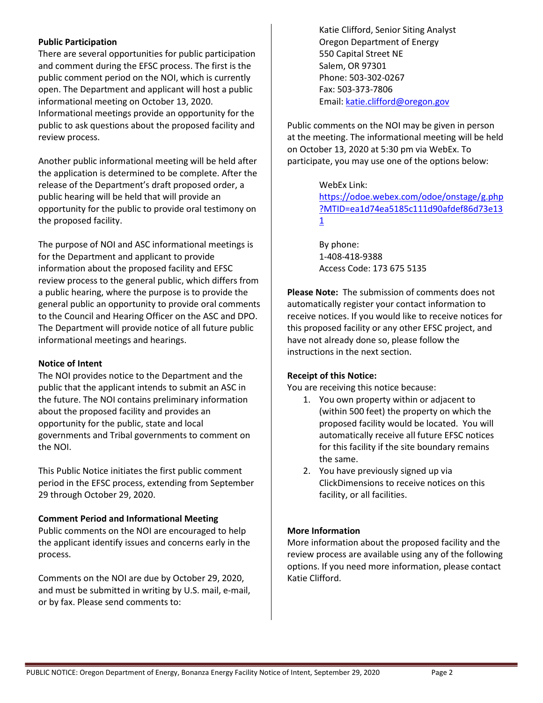#### Public Participation

There are several opportunities for public participation and comment during the EFSC process. The first is the public comment period on the NOI, which is currently open. The Department and applicant will host a public informational meeting on October 13, 2020. Informational meetings provide an opportunity for the public to ask questions about the proposed facility and review process.

Another public informational meeting will be held after the application is determined to be complete. After the release of the Department's draft proposed order, a public hearing will be held that will provide an opportunity for the public to provide oral testimony on the proposed facility.

The purpose of NOI and ASC informational meetings is for the Department and applicant to provide information about the proposed facility and EFSC review process to the general public, which differs from a public hearing, where the purpose is to provide the general public an opportunity to provide oral comments to the Council and Hearing Officer on the ASC and DPO. The Department will provide notice of all future public informational meetings and hearings.

#### Notice of Intent

The NOI provides notice to the Department and the public that the applicant intends to submit an ASC in the future. The NOI contains preliminary information about the proposed facility and provides an opportunity for the public, state and local governments and Tribal governments to comment on the NOI.

This Public Notice initiates the first public comment period in the EFSC process, extending from September 29 through October 29, 2020.

#### Comment Period and Informational Meeting

Public comments on the NOI are encouraged to help the applicant identify issues and concerns early in the process.

Comments on the NOI are due by October 29, 2020, and must be submitted in writing by U.S. mail, e-mail, or by fax. Please send comments to:

Katie Clifford, Senior Siting Analyst Oregon Department of Energy 550 Capital Street NE Salem, OR 97301 Phone: 503-302-0267 Fax: 503-373-7806 Email: katie.clifford@oregon.gov

Public comments on the NOI may be given in person at the meeting. The informational meeting will be held on October 13, 2020 at 5:30 pm via WebEx. To participate, you may use one of the options below:

# WebEx Link:

https://odoe.webex.com/odoe/onstage/g.php ?MTID=ea1d74ea5185c111d90afdef86d73e13 1

By phone: 1-408-418-9388 Access Code: 173 675 5135

Please Note: The submission of comments does not automatically register your contact information to receive notices. If you would like to receive notices for this proposed facility or any other EFSC project, and have not already done so, please follow the instructions in the next section.

## Receipt of this Notice:

You are receiving this notice because:

- 1. You own property within or adjacent to (within 500 feet) the property on which the proposed facility would be located. You will automatically receive all future EFSC notices for this facility if the site boundary remains the same.
- 2. You have previously signed up via ClickDimensions to receive notices on this facility, or all facilities.

#### More Information

More information about the proposed facility and the review process are available using any of the following options. If you need more information, please contact Katie Clifford.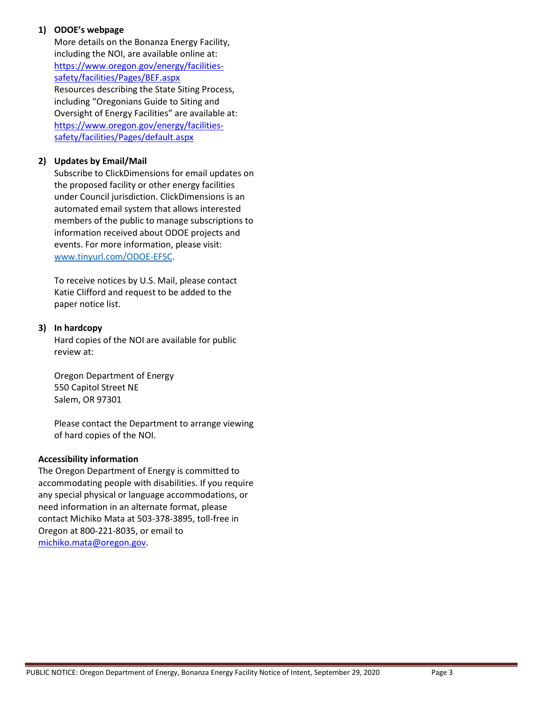# 1) ODOE's webpage

More details on the Bonanza Energy Facility, including the NOI, are available online at: https://www.oregon.gov/energy/facilitiessafety/facilities/Pages/BEF.aspx Resources describing the State Siting Process, including "Oregonians Guide to Siting and Oversight of Energy Facilities" are available at: https://www.oregon.gov/energy/facilitiessafety/facilities/Pages/default.aspx

### 2) Updates by Email/Mail

Subscribe to ClickDimensions for email updates on the proposed facility or other energy facilities under Council jurisdiction. ClickDimensions is an automated email system that allows interested members of the public to manage subscriptions to information received about ODOE projects and events. For more information, please visit: www.tinyurl.com/ODOE-EFSC.

To receive notices by U.S. Mail, please contact Katie Clifford and request to be added to the paper notice list.

#### 3) In hardcopy

Hard copies of the NOI are available for public review at:

Oregon Department of Energy 550 Capitol Street NE Salem, OR 97301

Please contact the Department to arrange viewing of hard copies of the NOI.

#### Accessibility information

The Oregon Department of Energy is committed to accommodating people with disabilities. If you require any special physical or language accommodations, or need information in an alternate format, please contact Michiko Mata at 503-378-3895, toll-free in Oregon at 800-221-8035, or email to michiko.mata@oregon.gov.